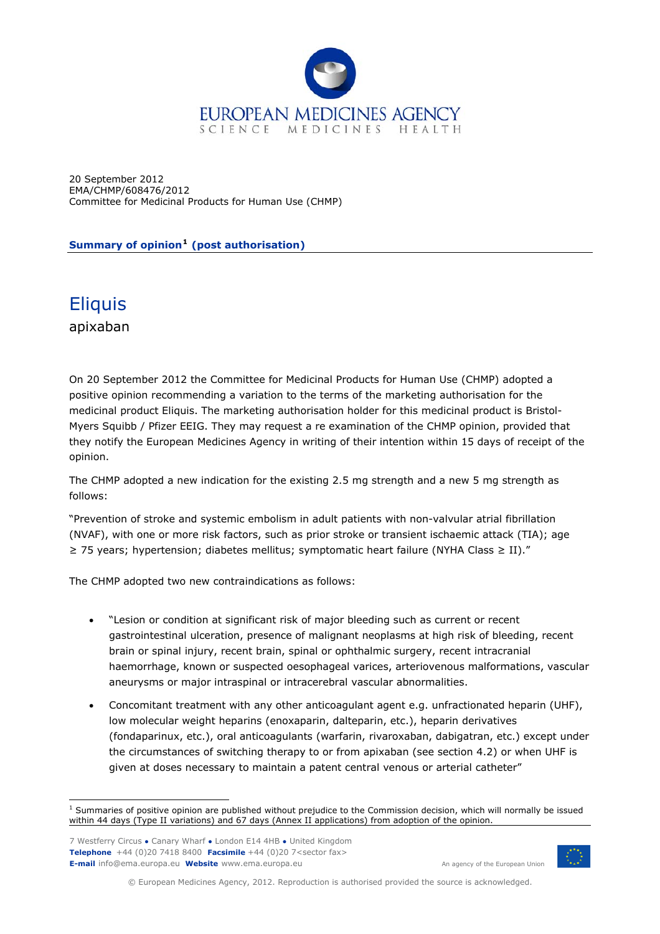

20 September 2012 EMA/CHMP/608476/2012 Committee for Medicinal Products for Human Use (CHMP)

**Summary of opinion[1](#page-0-0) (post authorisation)** 

## **Eliquis**

apixaban

On 20 September 2012 the Committee for Medicinal Products for Human Use (CHMP) adopted a positive opinion recommending a variation to the terms of the marketing authorisation for the medicinal product Eliquis. The marketing authorisation holder for this medicinal product is Bristol-Myers Squibb / Pfizer EEIG. They may request a re examination of the CHMP opinion, provided that they notify the European Medicines Agency in writing of their intention within 15 days of receipt of the opinion.

The CHMP adopted a new indication for the existing 2.5 mg strength and a new 5 mg strength as follows:

"Prevention of stroke and systemic embolism in adult patients with non-valvular atrial fibrillation (NVAF), with one or more risk factors, such as prior stroke or transient ischaemic attack (TIA); age ≥ 75 years; hypertension; diabetes mellitus; symptomatic heart failure (NYHA Class ≥ II)."

The CHMP adopted two new contraindications as follows:

- "Lesion or condition at significant risk of major bleeding such as current or recent gastrointestinal ulceration, presence of malignant neoplasms at high risk of bleeding, recent brain or spinal injury, recent brain, spinal or ophthalmic surgery, recent intracranial haemorrhage, known or suspected oesophageal varices, arteriovenous malformations, vascular aneurysms or major intraspinal or intracerebral vascular abnormalities.
- Concomitant treatment with any other anticoagulant agent e.g. unfractionated heparin (UHF), low molecular weight heparins (enoxaparin, dalteparin, etc.), heparin derivatives (fondaparinux, etc.), oral anticoagulants (warfarin, rivaroxaban, dabigatran, etc.) except under the circumstances of switching therapy to or from apixaban (see section 4.2) or when UHF is given at doses necessary to maintain a patent central venous or arterial catheter"

7 Westferry Circus **●** Canary Wharf **●** London E14 4HB **●** United Kingdom **Telephone** +44 (0)20 7418 8400 **Facsimile** +44 (0)20 7<sector fax> **E-mail** info@ema.europa.eu **Website** www.ema.europa.eu An agency of the European Union



© European Medicines Agency, 2012. Reproduction is authorised provided the source is acknowledged.

<span id="page-0-0"></span> 1 Summaries of positive opinion are published without prejudice to the Commission decision, which will normally be issued within 44 days (Type II variations) and 67 days (Annex II applications) from adoption of the opinion.